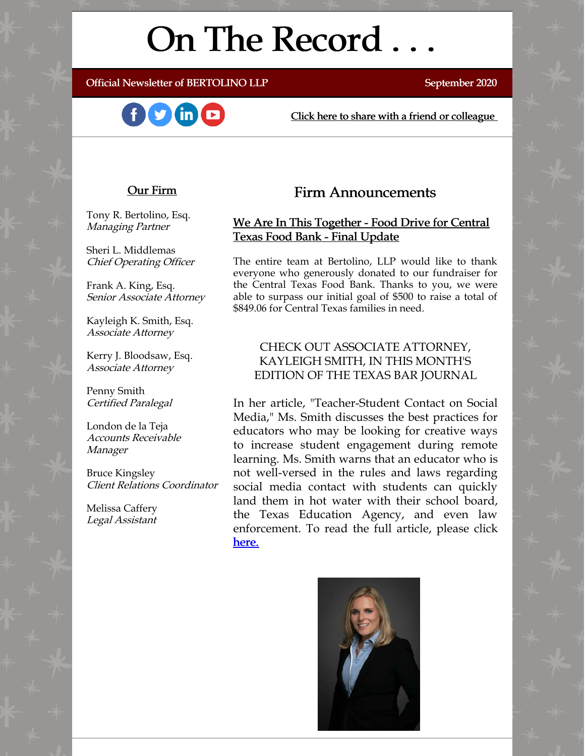# On The Record . . .

Official Newsletter of BERTOLINO LLP September 2020





[Click here to share with a friend or colleague](https://visitor.r20.constantcontact.com/manage/optin?v=001xvcZBIZGArRYZxP_ENhTFsnPqgcrAHF_8FAGh0C6OoU_TYzgqPeo9kiI5F5Vb-xdZP7jClYZWX2ttQp6Q7JygJ1sq0DH9MDHJwjzNoREDc4=)

#### Our Firm

Tony R. Bertolino, Esq. Managing Partner

Sheri L. Middlemas Chief Operating Officer

Frank A. King, Esq. Senior Associate Attorney

Kayleigh K. Smith, Esq. Associate Attorney

Kerry J. Bloodsaw, Esq. Associate Attorney

Penny Smith Certified Paralegal

London de la Teja Accounts Receivable Manager

Bruce Kingsley Client Relations Coordinator

Melissa Caffery Legal Assistant

## Firm Announcements

### We Are In This Together - Food Drive for Central Texas Food Bank - Final Update

The entire team at Bertolino, LLP would like to thank everyone who generously donated to our fundraiser for the Central Texas Food Bank. Thanks to you, we were able to surpass our initial goal of \$500 to raise a total of \$849.06 for Central Texas families in need.

#### CHECK OUT ASSOCIATE ATTORNEY, KAYLEIGH SMITH, IN THIS MONTH'S EDITION OF THE TEXAS BAR JOURNAL

In her article, "Teacher-Student Contact on Social Media," Ms. Smith discusses the best practices for educators who may be looking for creative ways to increase student engagement during remote learning. Ms. Smith warns that an educator who is not well-versed in the rules and laws regarding social media contact with students can quickly land them in hot water with their school board, the Texas Education Agency, and even law enforcement. To read the full article, please click [here.](https://lsc-pagepro.mydigitalpublication.com/display_article.php?id=3745311&view=670742)